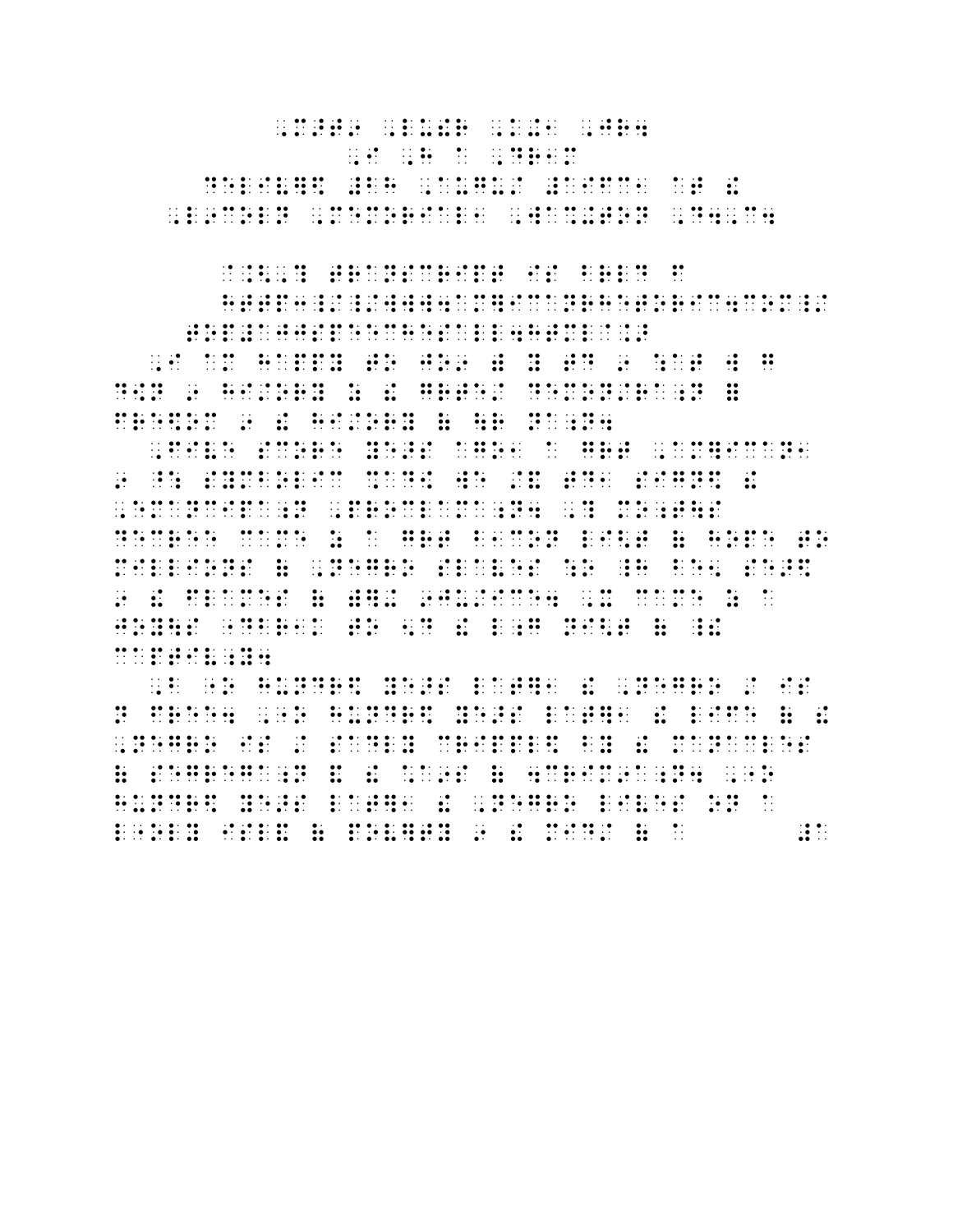1881 - 1891 - 1892 - 1893 - 1894 - 1894 - 1895 - 1896 - 1897 - 1898 - 1899 - 1899 - 1899 - 1899 - 1899 - 1899<br>1891 - 1894 - 1894 - 1895 - 1899 - 1899 - 1899 - 1899 - 1899 - 1899 - 1899 - 1899 - 1899 - 1899 - 1899 - 1899<br>18 

in no composito de de de de de la de la nova en el seguente de la de la de la nova en el de de la composito de<br>2008 : la composito de la de de la de la de la de la de la de la de la de la de la de la de la de la de la de<br> 

in in 1980 de la 1980 de de de 1980 de de 1980 de la 1980 de la 1980 de la 1980 de la 1980 de de de la 1980 de<br>1980 : la 1980 de la 1980 de de de la 1980 de 1980 de la 1980 de la 1980 de la 1980 de la 1980 de la 1980.<br>1981 ica il composito de de de la composito de la característica de de la característica de de de de la compositor<br>1961 - de la de la característica de de de la característica estadounidense de la característica de la caracte<br>1 

1941 - 1941 - 1942 - 1943 - 1944 - 1944 - 1944 - 1945 - 1946 - 1946 - 1946 - 1946 - 1946 - 1946 - 1946 - 1946<br>1941 - 1946 - 1946 - 1946 - 1946 - 1946 - 1946 - 1946 - 1946 - 1946 - 1946 - 1946 - 1946 - 1946 - 1946 - 1946<br>19  $\mathbb{R}$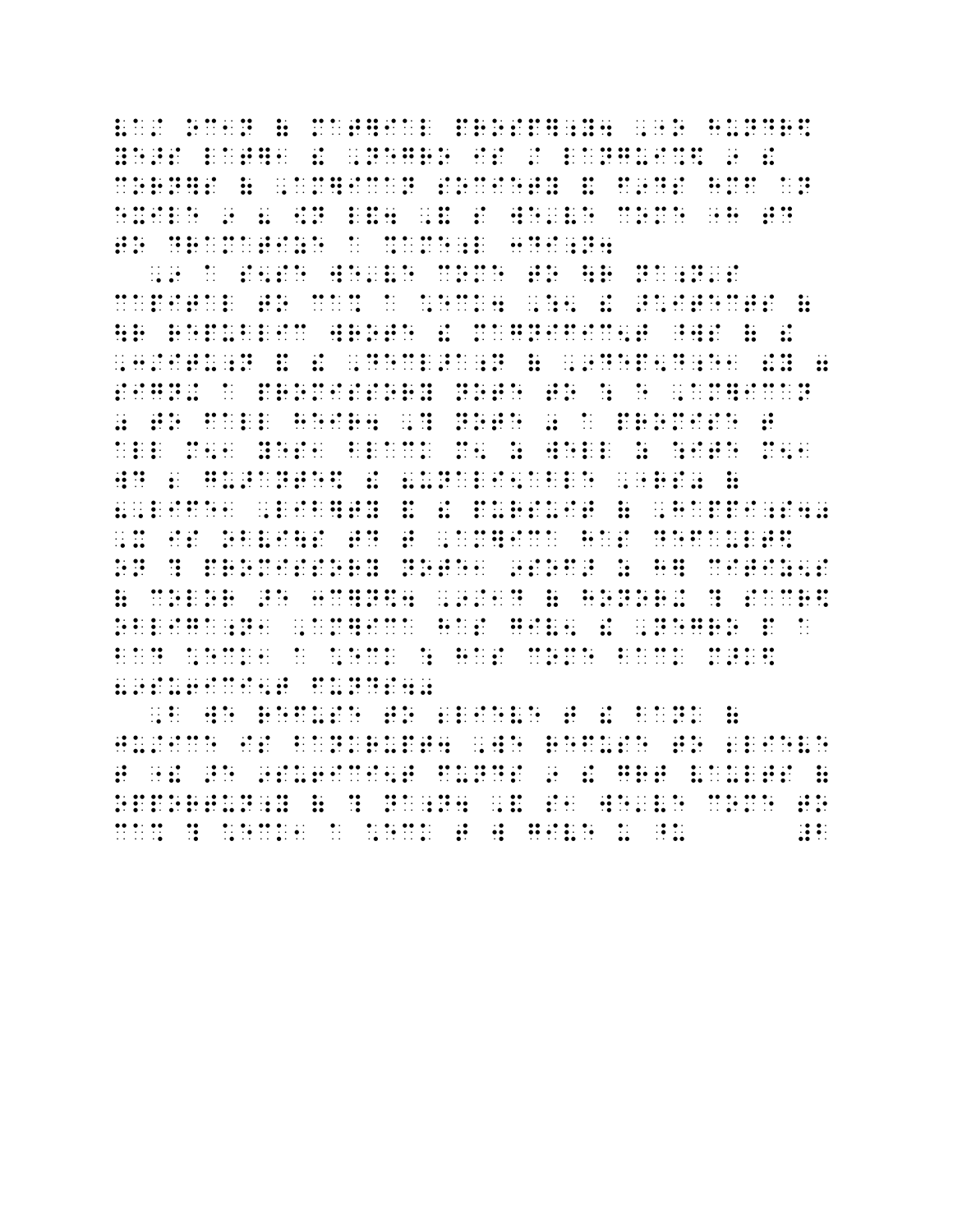1881 - 1882 - 1893 - 1894 - 1995 - 1996 - 1996 - 1996 - 1996 - 1996 - 1997 - 1998 - 1998 - 1998 - 1999 - 1999<br>1996 - 1996 - 1996 - 1996 - 1996 - 1996 - 1996 - 1996 - 1997 - 1998 - 1999 - 1999 - 1999 - 1999 - 1999 - 1999<br>19 . 1966 - 1976 - 1986 - 1987 - 1988 - 1988 - 1988 - 1988 - 1988 - 1988 - 1988 - 1988 - 1988 - 1988 - 1988 - 198<br>1989 - 1989 - 1989 - 1989 - 1989 - 1989 - 1989 - 1989 - 1989 - 1989 - 1989 - 1989 - 1989 - 1989 - 1989 - 1989<br>1  $\mathbf{r}$  $\ddot{\ddot{\mathbf{z}}}$ 

in en 1986 de la companya de la companya de la companya de la companya de la companya de la companya de la com<br>1991 de la companya de la companya de la companya de la provincia de la companya de la companya de la provinc<br>1 in de la carte de la certa de la carte de la carte de la carte de la carte de la carte de la carte de la carte<br>1991 - La carte de la carte de la carte de la carte de la carte de la carte de la carte de la carte de la car<br>1 ian an illan an ao amam-dhina ao illna amam-dhacht ina illaa ao ao ao na ao no ao nin amam-dhina na kilin na b<br>Tao ao illaa ao nin an amam-dhina illaa ao ao ao ao ao nin ao ao ao amam-dhina amam-dhachta illaa ao illaa il<br>T  $\frac{1}{2}$  ,  $\frac{1}{2}$  ,  $\frac{1}{2}$  ,  $\frac{1}{2}$  ,  $\frac{1}{2}$  ,  $\frac{1}{2}$  ,  $\frac{1}{2}$  ,  $\frac{1}{2}$  ,  $\frac{1}{2}$  ,  $\frac{1}{2}$  ,  $\frac{1}{2}$  ,  $\frac{1}{2}$  ,  $\frac{1}{2}$  ,  $\frac{1}{2}$  ,  $\frac{1}{2}$  ,  $\frac{1}{2}$  ,  $\frac{1}{2}$  ,  $\frac{1}{2}$  ,  $\frac{1$ **MARINE MARINE**  $\ddot{\mathbf{r}}$ here her د که در این که در که در این در این که در این که در این که در که در این در این که در این که در این که در این که<br>که در این که در این که در این که در این که در این که در این که در این که در این که در این که در این که در این  $\frac{1}{2}$ . تو د د کورنو او د کورنو کورنو کورنو د د د کورنو کورنو کورنو کورنو کورنو کورنو کورنو کورنو کورنو کورنو کورنو ک<br>انگرام کورنو کورنو کورنو کورنو کورنو کورنو کورنو کورنو کورنو کورنو کورنو کورنو کورنو کورنو کورنو کورنو کورنو ian da condita de la carra de la carra de la carra de la carra de la carra de la carra de la carra de la carra<br>1940 - La carra de la carra de la carra de la carra de la carra de la carra de la carra de la carra de la car<br>1  $\frac{1}{2}$ . 1989 - 1989 - 1989 - 1989 - 1989 - 1989 - 1989 - 1989 - 1989 - 1989 - 1989 - 1989 - 1989 - 1989 - 1989 - 198<br>1989 - 1989 - 1989 - 1989 - 1989 - 1989 - 1989 - 1989 - 1989 - 1989 - 1989 - 1989 - 1989 - 1989 - 1989 - 1989<br>1 ide de de edida el el doler i les de doled dolde. Il de de edil doled de el les illes de de dolde de li dol i<br>1988 : de dolga el ediga de l'el el dolde el el el doles de l'adiode de la les el estado dolde de l'al l'el e<br>19 

i de la provincia de la proposició de la cerda de la de la proposició de la cerda de la proposició de la provi<br>1991 - La partició de la provincia de la partició de la provincia de la provincia de la provincia de la provi<br>1  $\ddot{\cdot}$ 1988 - 1991 - 1992 - 1993 - 1994 - 1995 - 1996 - 1996 - 1997 - 1998 - 1998 - 1998 - 1999 - 1999 - 1999 - 1999<br>1999 - 1999 - 1999 - 1999 - 1999 - 1999 - 1999 - 1999 - 1999 - 1999 - 1999 - 1999 - 1999 - 1999 - 1999 - 1999<br>19 1980 - 1980 Bennett, Maria 1980 - 1980 - 1980 Bennett, Maria 1980 Bennett, Maria 1980 Bennett, Maria 1980 Benn<br>1980 - 1980 - 1980 Barbara, Maria 1980 - 1980 Barbara, Maria 1980 Bennett, Maria 1980 Barbara, Maria 1980 Bar<br>1  $\mathbb{R}$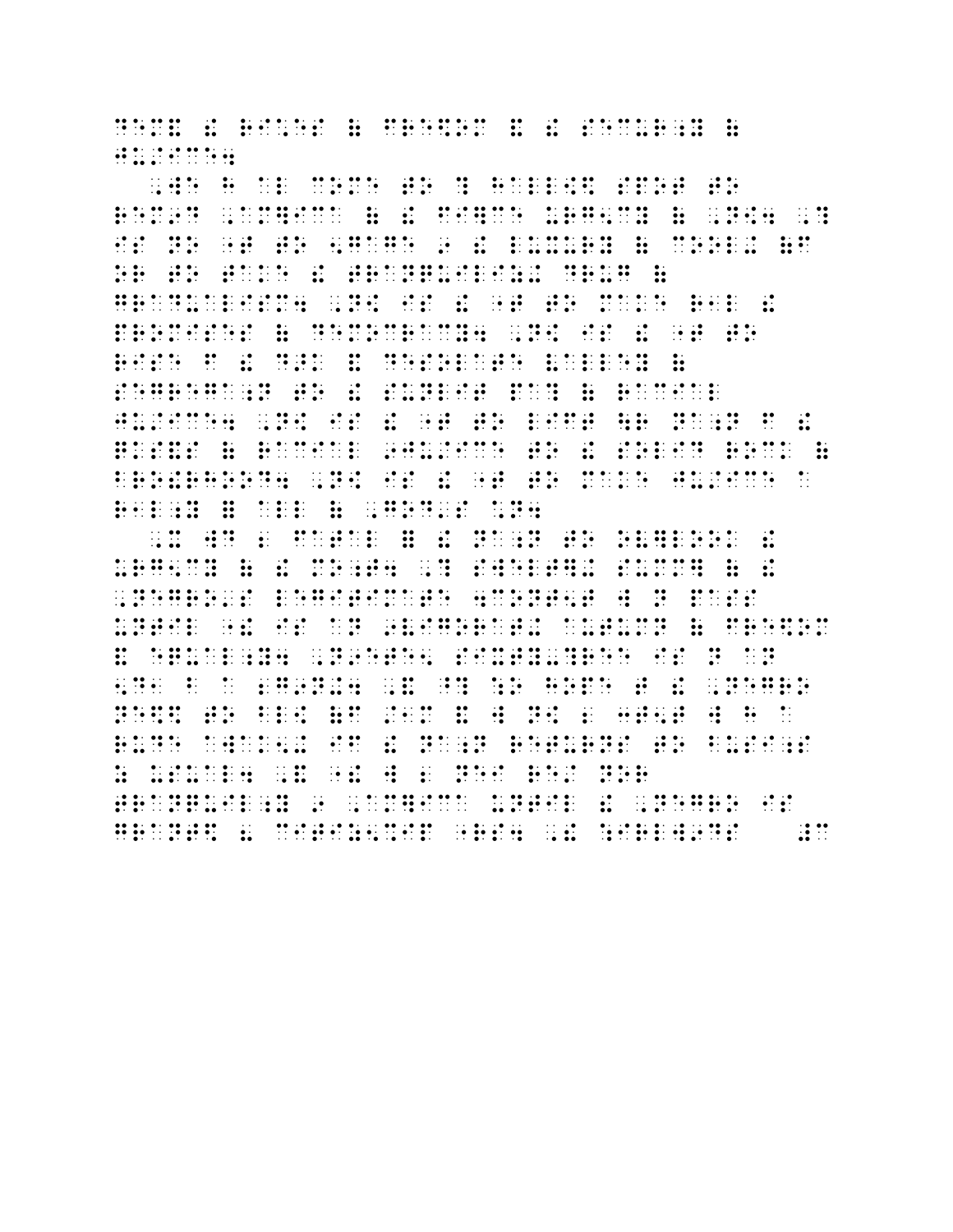**HIMMOND** 

in en 1970 - De la Bergera de Bergera de Bergera de la Bergera de La Bara (1980) en 1980 en 1980 - en 1980 -<br>1991 - La Bergera de Bergera de La Bergera de La Bergera (1980) en 1980 - La Bergera de Bergera de Bergera de<br>199 ias as daissida instrumenta salad del 1963, se il da salad da del 1965 de segunda de la cesta da salas instrua<br>1960 de segunda de segunda de segunda de la casa de la celebra de la da de 1960 de 1970 de segunda de la segun<br> **REAL PROPERTY** i de la provincia de la provincia de la provincia de la provincia de la provincia de la provincia de la provin<br>1980 - La provincia de la provincia de la provincia de la provincia de la provincia de la provincia de la pro<br>1 1981 - 1982 - 1983 - 1984 - 1985 - 1986 - 1986 - 1986 - 1987 - 1988 - 1988 - 1988 - 1988 - 1988 - 1988 - 1988<br>1988 - 1988 - 1989 - 1988 - 1988 - 1989 - 1989 - 1989 - 1989 - 1989 - 1989 - 1989 - 1989 - 1989 - 1989 - 1989<br>19 i de la diversión de la característica de la característica de la característica de la característica de la ca<br>1999: De la característica de la característica de la característica de la característica de la característic<br>1  $\ddot{\cdot}$  $\frac{1}{2}$ . 1988 - 1988 - 1988 - 1988 - 1988 - 1988 - 1988 - 1988 - 1988 - 1988 - 1988 - 1988 - 1988 - 1988 - 1988 - 198<br>1989 - 1988 - 1988 - 1988 - 1988 - 1988 - 1988 - 1988 - 1988 - 1988 - 1988 - 1988 - 1988 - 1988 - 1988 - 1988<br>1

in de linguae in 1998 de la dinastia de lingua de de lingua de lingua de la dinastia de la dinastia de lingua<br>1999 - La dinastia de lingua de la dinastia de lingua de la dinastia de la dinastia de la dinastia de la dina<br>19 i de de el de de li de li de li de de estas livres de li de de de de en edition de li de de de de li de li de<br>1991 de de ser li de li de li de ser de de li de li de de ser de de li de ser estas de li de li de li de li d<br>19 . De la calificación de la califación de la califación de la califación de la califación de la calificación de<br>1991 - La calificación de la calificación de la califación de la calificación de la califación de la califica<br>1 de el estas conservación de el estas como el estas de como de como estas como el el estas el estas el estas el<br>1980: El estas como el estas el estas de el estas el estas el estas el estas el estas el estas el estas el el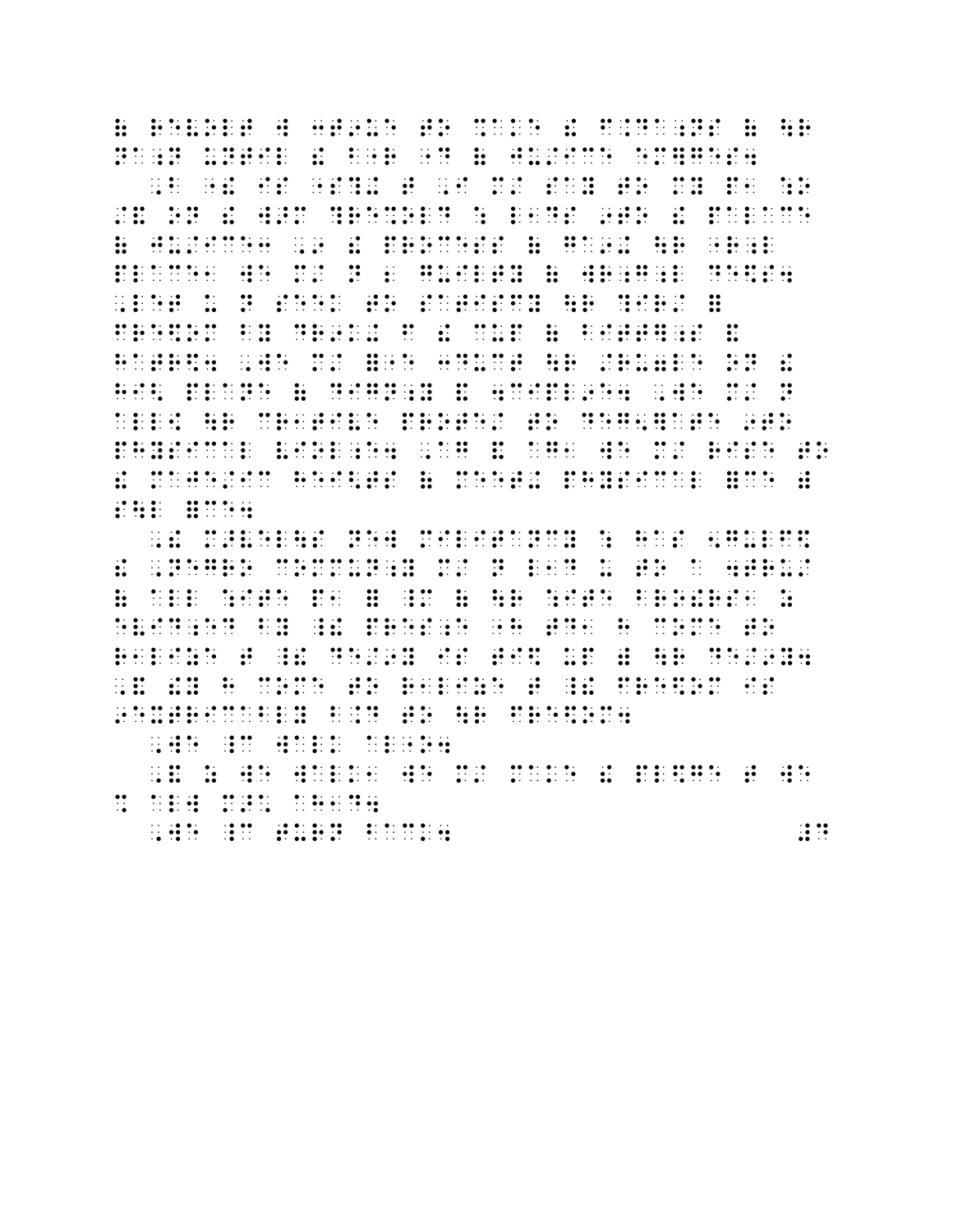( REVOLT WE SAKE IN THE REVOLT WE SAKE IN THE REVOLT WE ARRAIGNED TO A SUBSTITUTE OF A SUBSTITUTE OF A SUBSTIT<br>The Contract We say as a substitute of the Contract Contract we have the Contract West Contract Contract Contr<br> NA; DE DE LA SUR DE LA SUR DE LA SUR DE LA SUR DE LA SUR DE LA SUR DE LA SUR DE LA SUR DE LA SUR DE LA SUR DE<br>1961 : La Sur de La Sur de La Sur de La Sur De La Sur De La Sur De La Sur De La Sur De La Sur De La Sur De La<br>19 ,B "! IS "S?+ T ,I M/ SAY TO MY P1 :O /& ON ! W>M ?RE%OLD : L1DS 9TO ! PALACE ( JU/ICE3 ,9 ! PROCESS ( GA9+ \R "R;L PLACE1 WE M/ N 2 GUILTY ( WR;G;L DE\$S4 ,LET U N SEEK TO SATISFY \R ?IR/ = FRE\$OM BY DR9K+ F ! CUP ( BITT];S &  $\frac{4}{30}$  ,  $\frac{4}{30}$  ,  $\frac{4}{30}$  ,  $\frac{4}{30}$  ,  $\frac{4}{30}$  ,  $\frac{4}{30}$  ,  $\frac{4}{30}$  ,  $\frac{4}{30}$  ,  $\frac{4}{30}$  ,  $\frac{4}{30}$  ,  $\frac{4}{30}$  ,  $\frac{4}{30}$  ,  $\frac{4}{30}$  ,  $\frac{4}{30}$  ,  $\frac{4}{30}$  ,  $\frac{4}{30}$  ,  $\frac{4}{30}$  , HISTORICAL COMPONENT DE LOS DO PORTO DO LA DO LA DO PORTO DE LA SURFACIONAL DE LOS DO PORTO DO PORTO DO PORTO<br>HISTORICAL DE DE LA PORTO DO PORTO DO PORTO DO LA DO LA DO PORTO DE LO PORTO DE LA DO LA PORTO DE LA PRODUCCI<br>HI  $\overline{\phantom{a}}$  ,  $\overline{\phantom{a}}$  ,  $\overline{\phantom{a}}$  ,  $\overline{\phantom{a}}$  ,  $\overline{\phantom{a}}$  ,  $\overline{\phantom{a}}$  ,  $\overline{\phantom{a}}$  ,  $\overline{\phantom{a}}$  ,  $\overline{\phantom{a}}$  ,  $\overline{\phantom{a}}$  ,  $\overline{\phantom{a}}$  ,  $\overline{\phantom{a}}$  ,  $\overline{\phantom{a}}$  ,  $\overline{\phantom{a}}$  ,  $\overline{\phantom{a}}$  ,  $\overline{\phantom{a}}$ PHYSICAL VIOLENCE AND AN INTERNATIONAL AND ALL COMPANY AND AGENCY IN A SAME AND A SAME AND A SAME AND A SAME A<br>Physical Violence and a same and agency in a same and agency in a same and a same and a same and a same and a<br>P ! MAJE/IC HEI<TS ( MEET+ PHYSICAL =CE ) S\L =CE4

 ,! M>VEL\S NEW MILITANCY : HAS 5GULF\$ ! ,NEGRO COMMUN;Y M/ N L1D U TO A 4TRU/ ( ALL : ISLAM : ISLAM : ISLAM : ISLAM : ISLAM : ISLAM : ISLAM : ISLAM : ISLAM : ISLAM : ISLAM : ISLAM : ISLAM <br>1990 : ISLAM : ISLAM : ISLAM : ISLAM : ISLAM : ISLAM : ISLAM : ISLAM : ISLAM : ISLAM : ISLAM : ISLAM : ISLAM :<br> EVID;ED BY \_! PRES;E "H TD1 H COME TO R1LIZE TO DE REGIONE DE LA 1999 DE REGIONE DE LA 1999 DE LA 1999 DE LA 1999 DE LA 1999 DE LA 1999 DE LA 1999 D<br>Regione de la 1999 de la 1999 de la 1999 de la 1999 de la 1999 de la 1999 de la 1999 de la 1994 de la 1999 de<br>R , LA COME TO RESIDENCE DE LA COME TO DE LA COME TO DE LA CARDA DE CARDA DE LA CARDA DE LA CARDA DE LA CARDA DE<br>1994 - La Carda Islam Islam Islam Islam Islam Islam de La Carda Islam Islam Islam Islam Islam Islam Islam Isl<br>1 9EXTRICABLY B.D TO \R FRE\$OM4

, we have a set of the set of the set of the set of the set of the set of the set of the set of the set of the<br>All of the set of the set of the set of the set of the set of the set of the set of the set of the set of the<br>

,  $\frac{1}{2}$  ,  $\frac{1}{2}$  ,  $\frac{1}{2}$  ,  $\frac{1}{2}$  ,  $\frac{1}{2}$  ,  $\frac{1}{2}$  ,  $\frac{1}{2}$  ,  $\frac{1}{2}$  ,  $\frac{1}{2}$  ,  $\frac{1}{2}$  ,  $\frac{1}{2}$  ,  $\frac{1}{2}$  ,  $\frac{1}{2}$  ,  $\frac{1}{2}$  ,  $\frac{1}{2}$  ,  $\frac{1}{2}$  ,  $\frac{1}{2}$  ,  $\frac{1}{2}$  ,  $\frac$ % ALW MORTH AND ALW MORTH AND ALW MORTH AND ALW MORTH AND ALW MORTH AND ALW MORTH AND ALW MORTH AND ALW MORTH <br>AHDALD AHND4 AHDALD AND ALW MORTH AND ALW MORTH AND ALW MORTH AND ALW MORTH AND ALW MORTH AND ALW MORTH AND A<br>A

, we have a set of the set of the set of the set of the set of the set of the set of the set of the set of the<br>The set of the set of the set of the set of the set of the set of the set of the set of the set of the set of<br>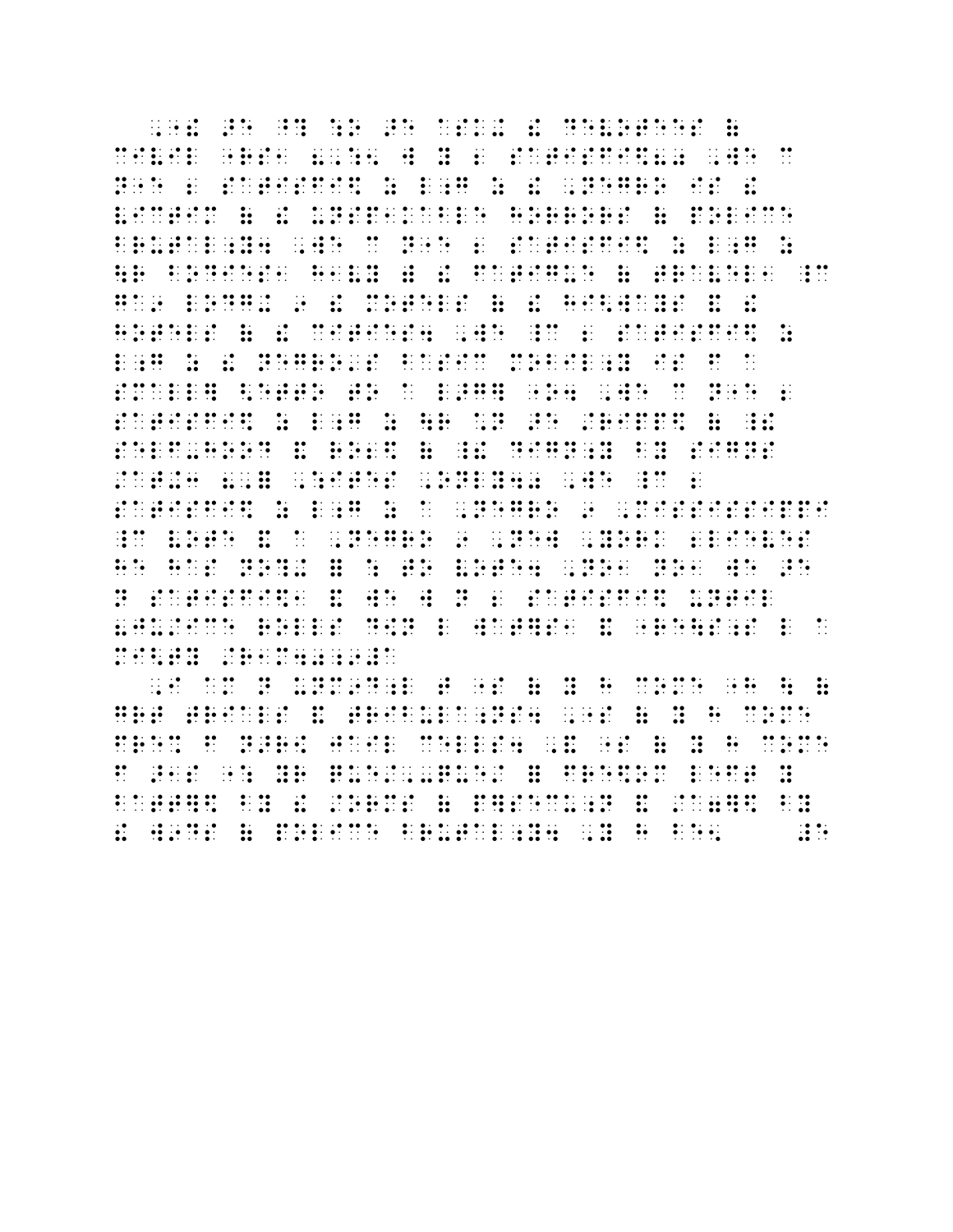in nomina de la campa de la campa de la campa de la campa de la campa de la campa de la campa de la campa de<br>1991 - La campa de la campa de la campa de la campa de la campa de la campa de la campa de la campa de la cam<br>199 1881 - Die Großen der Karten der Steinen der Karten des Steinen und der Karten der Karten der Karten der Karte<br>1991 - Die Großen der Steinen der Steinen des Steinen der Steinen der Karten der Steinen der Karten der Karte<br>1 . 1986 - 1986 - 1986 - 1986 - 1986 - 1986 - 1986 - 1986 - 1987 - 1988 - 1989 - 1989 - 1989 - 1989 - 1980 - 198<br>1986 - 1986 - 1986 - 1986 - 1986 - 1986 - 1987 - 1986 - 1987 - 1988 - 1986 - 1986 - 1986 - 1986 - 1986 - 1986<br>1 i de la digita de 1950 - la ciudad de 1950 de la digita de 1950 de 1950 de 1950 de 1950 de 1950.<br>1950 de la digita de 1960 - la digita de 1950 de 1950 de 1950 de 1960 de 1960 de 1960 de 1960.<br>1960 de la digita de 1960 - 19 **PERIODICAL PROPERTY** <u> a ban a</u> de de la de de la de edición en el de de la cada de la dadira en de de la cada de la de de de de la cada de de<br>1990 de la cada de la de la la de de la cada de la de la de de la cada de la de de la de la de la cada de la<br>19 i de de en de en 1950, de 1950 de 1950 en 2050 de en 1950 en 1960 de 1960 de 1960 en 1960 en 2060 de 2060 en 2<br>1960 en de en de de 1960 de 1960 en 2060 de de de de 1960 en 2060 en 2060 en 2060 de 2060 de de de de de 1960<br>1  $\ddot{\cdot}$ i de les doncs les comparaisons de de les de la comparaison de la comparaison de la comparaison de la comparai<br>1970 : les de la comparaisons de la comparaison de la comparaison de les politiques de la comparaison de la co<br>  $\cdot$ 1980 - 1981 - 1982 - 1982 - 1983 - 1983 - 1983 - 1983 - 1983 - 1983 - 1983 - 1983 - 1983 - 1983 - 1983 - 1980<br>1991 - 1982 - 1983 - 1992 - 1993 - 1993 - 1994 - 1995 - 1994 - 1994 - 1995 - 1996 - 1996 - 1996 - 1996 - 1996<br>19  $\ddot{\cdot}$ ה הוא מספר מה מה מה מה מה מספר ההוויים היה מספר ממודדה והמודדה המודדה מה היה מה המספר מספר מספר מה מה מה מה המ<br>המספר המספר מה מה המספר המספר המספר המספר המספר המה המודדה היה היה היה המספר המספר המספר המספר המספר המספר המס ian any tanàna mandritry ny taona 2008–2014. Ilay kaominina dia kaominina mpikambana amin'ny fivondronan-kaomi<br>Ny INSEE dia mampiasa ny kaodim-paositra 2008–2014. Ilay kaominina dia kaominina mpikambana amin'ny fivondrona<br> 1980 – In die stelling de selde sy it 1980 – In die 1980 – In Italie sy stelling van die 1980 van die selde sy<br>1980 – In die Sander die Sander van die 1980 van die 1980 – In Italie van die 1980 van die sy sy die die die<br>19 in na dina na dalam ilian an anchina. Ilaa na dalil an ilina an na dalini iliadil ni an an an na nin na ilian<br>Ilan an ni na ni ni la na dina ni an ni ni ni ni ni la an an an an an ni na adalia an an an an ilian ilini ni<br>Il 

in no composito de la de de de la de nom en la de la nom de la de la de la de la de de de de la nom de la de<br>La de la de la de la de la de la de la de la de la de la de la de la de la de la de la de la de la de de la<br>La d  $\ddot{u}$   $\ddot{u}$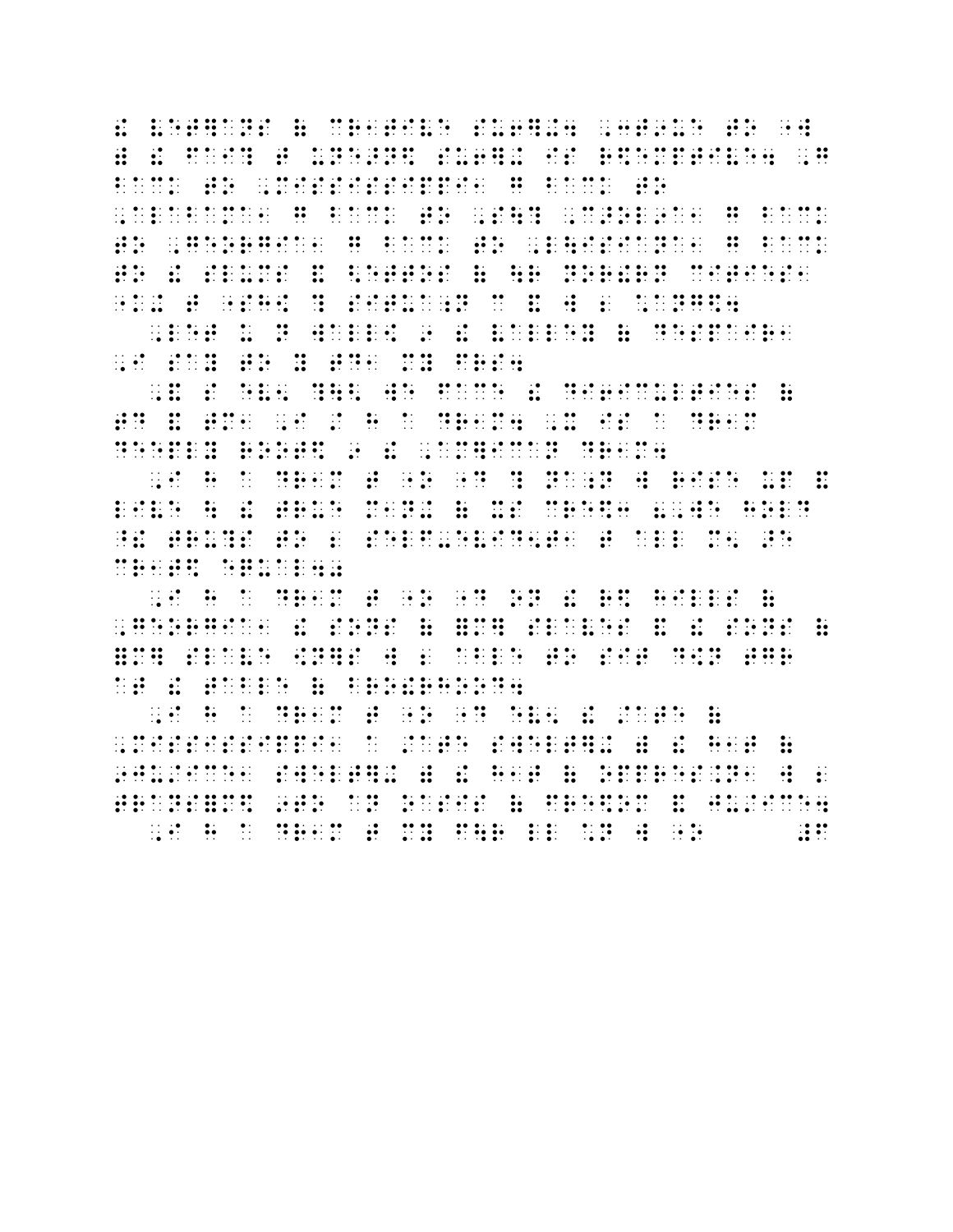! VET]ANS ( CR1TIVE SU6]+4 ,3T9UE TO "W ) : The state of the state of the series of the state of the state of the series of the state of the state of<br>The state of the state of the state of the state of the state of the state of the state of the state of the st<br>T BACK TO , DO BACK TO , DO LO HOLLO LO LO LO BO DO LO LO LO LO LO LO BACK TO , LO BACK TO , LO BACK TO , LO BAC<br>BACK TO , LO BO LO LO LO LO LO BACK DA BACK TO , LO BACK TO , LO BACK TO , LO BACK TO , LO BACK TO , LO BACK<br>LO ,ALABAMAN DI DI DI DI DI LABAMAN DI DI DI DI DI LABAMAN ALABAMAN ALABAH DI LABAMAN ANG KALI DI DI DI DI DI DI<br>ALABAMAN DI DI LABAMAN DI LABAMAN DI LABAMAN SEDANG SA SEDA DI DI LABAMAN DI DI DI LABAMAN DI SEDANG SA ALABA<br>AL TO ALL THE ORIGINAL ORIGINAL CONTRACT CONTRACT CONTRACT IN A SERVICE OF A CONTRACT CONTRACT CONTRACT CONTRACT<br>And the service of a back to detect the service of a service of a service of a service of a service of a service TO BE THE RESERVED OF THE RESERVED OF THE RESERVED OF THE RESERVED OF THE RESERVED OF TO SERVE A STRUCTURE OF<br>TO SLUMS AND RESERVED ON THE RESERVED OF THE RESERVED OF THE RESERVED OF THE RESERVED OF THE RESERVED OF THE R<br>T  $\mathcal{R}_1$  , and the state state of the state state state state state state state state state state state state state state state state state state state state state state state state state state state state state state st , LET UN DE L'UNE DE L'EST DE L'EST DE L'EST DE L'UNE DE SERVIE DE L'UNE DE L'ORD DE L'ORD DE L'ORD DE L'ORD D<br>L'EST DE L'ORD DE L'EST DE L'ORD DE L'ORD DE L'ORD DE L'ORD DE L'ORD DE L'ORD DE L'ORD DE L'ORD DE L'ORD DE L<br>L , I SAY TO YOUR CONSULTING TO A REPORT OF A SAY TO A REPORT OF A SAY TO A REPORT OF A SAY TO A REPORT OF A SAY<br>TO YOU HAVE CONSULTED TO A REPORT OF A SAY TO A REPORT OF A SAY TO A REPORT OF A SAY TO A REPORT OF A SAY TO A

,  $\sim$  500  $\pm$  500  $\pm$  500  $\pm$  500  $\pm$  500  $\pm$  500  $\pm$  500  $\pm$  500  $\pm$  500  $\pm$  500  $\pm$  500  $\pm$  500  $\pm$  500  $\pm$  500  $\pm$  500  $\pm$  500  $\pm$  500  $\pm$  500  $\pm$  500  $\pm$  500  $\pm$  500  $\pm$  500  $\pm$  500  $\pm$  500  $\pm$  $T$  , and the two distributions of the two distributions of the two distributions  $T$  , and  $T$  , and  $T$  , and  $T$  , and  $T$  , and  $T$  , and  $T$  , and  $T$  , and  $T$  , and  $T$  , and  $T$  , and  $T$  , and  $T$  , and  $T$  , and DEEPLY ROOT\$ 9 ! ,AM]ICAN DR1M4

, I H A DR1M THE RESEARCH DE CAR DISPOSITION DE LA PRODUCTION DE LA PRODUCTION DE LA PRODUCTION DE LA PRODUCTI<br>In 1972, a la production de la production de la production de la production de la production de la production<br>I LIGHT AN AIR AN 1999 - AN AIR AN 1999 - AN 1999 - AN 1999 - AN AIR AN AIR AN 1999 - AN AIR AN AIR AN AN AN AN<br>Light an indicate and the an air and the sense of the sense of the sense and the sense and the sense and the<br>Lig ^ 2 SELF-EVIDEO DE LA SELF-EL DE LA SELF-EL DE LA SELF-EL DE LA SELF-EL DE LA SELF-EL DE LA SELF-EL DE LA SELF<br>Self-El de self-el de la self-el de la self-el de la self-el de self-el de la self-el de la self-el de la sel<br>S CR1T (1989) 1999 - 1999 - 1999 - 1999 - 1999 - 1999 - 1999 - 1999 - 1999 - 1999 - 1999 - 1999 - 1999 - 1999 -<br>California California California California California<br>California California California California California

, I H A DR1M THR. THE RELEASE OF THE RIGHT COMPANY OF THE RELEASE OF THE RIGHT CONTINUES.<br>In the state of the state of the state of the state of the state of the state of the state of the state of th<br>In the state of the st , SONS ( = COLORADO ) ( = COLORADO ) ( = CONSIDERATION ) ( = COLORADO ) ( = COLORADO ) ( = COLORADO ) ( = COLO<br>( = COLORADO ) ( = COLORADO ) ( = COLORADO ) ( = COLORADO ) ( = COLORADO ) ( = COLORADO ) ( = COLORADO ) ( = C<br> =MONDO CON EN EL EN EL EN 1980 DE LES INDIANAS DE L'ANGER DE L'ANGER DE L'ANGER DE L'ANGER DE L'ANGER DE L'ANG<br>1980 - MONDO DE L'ANGER DE L'ANGER DE L'ANGER DE L'ANGER DE L'ANGER DE L'ANGER DE L'ANGER DE L'ANGER DE L'ANG<br>1 AT ! TABLE ( BRO!RHOOD4

, I H A DR1M THE RESERVED ON THE RIGHTS OF THE RESERVED ON THE RESERVED ON THE RIGHT OF THE RESERVED ON THE RI<br>In the rights and the rights of the rights of the rights of the rights of the rights of the rights of the rig<br>I ,MISSISSIPPI1 A /ATE SWELT]+ ) ! H1T ( 9JU/ICEN (1999) (1999) (1999) (1999) (1999) (1999) (1999) (1999) (1999) (1999) (1999) (1999) (1999) (1999) (19<br>1999) (1999) (1999) (1999) (1999) (1999) (1999) (1999) (1999) (1999) (1999) (1999) (1999) (1999) (1999) (1999<br>1 TRANS=MOTOR PRODUCT TO THE RANS CONTROL OF A STRAIGHT AND THE RANS CONTROL OF THE PRODUCT OF A STRAIGHT AND RE<br>AN OAST AN OAS AN INSTITUTE TO AN OAST A THE THE TRAINING OF A BOOK AND A STRAIGHT AND THE TOOL AND A STRAIGH<br>A ,I H A DR1M T MY F\R LL \*N W "O #F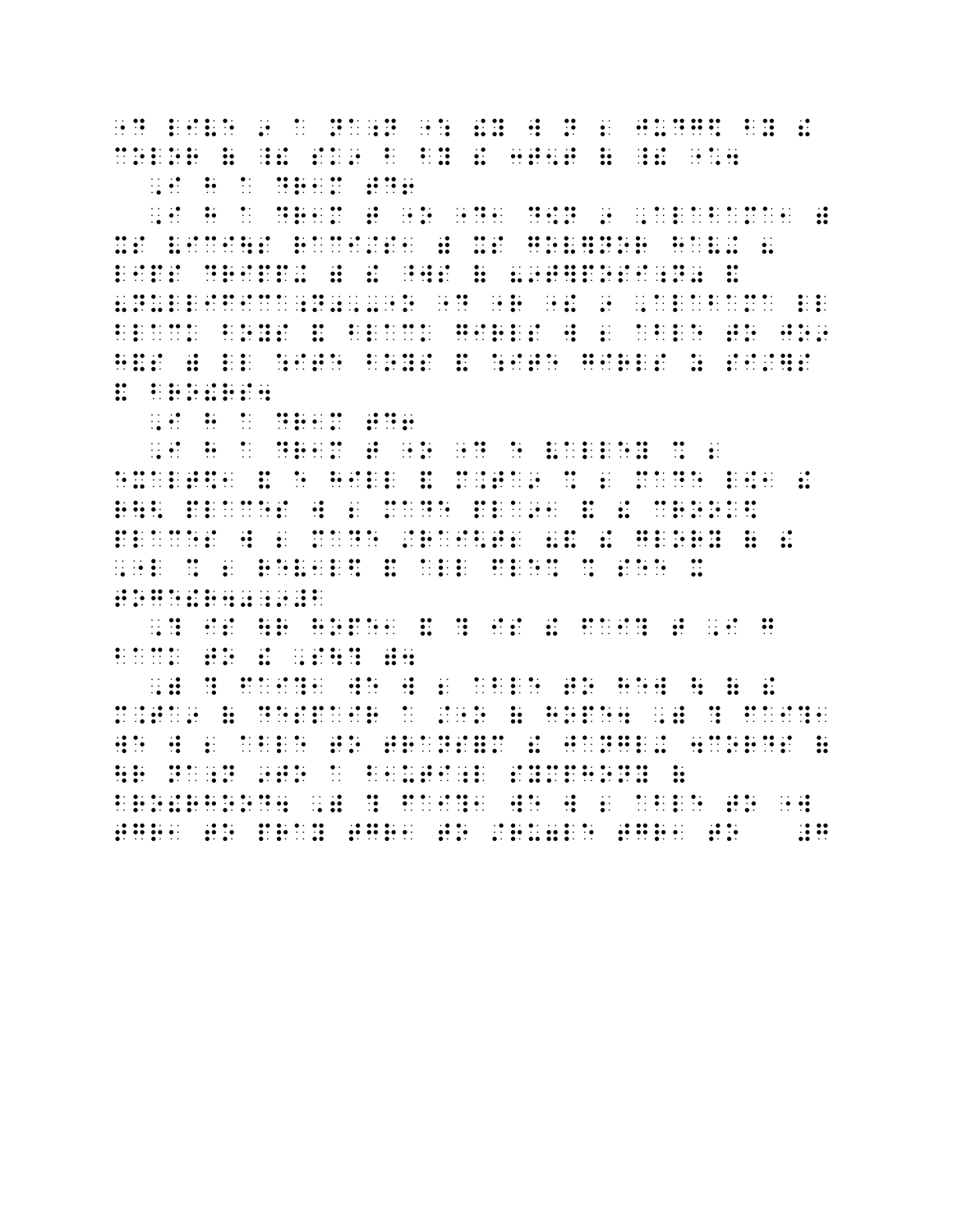"D LIVE 9 A NA;N NA;N ": "D LIVE" DO NA ANG PARTIT NA MARA NA ANG PARTIT NA ANG PANGANGANG ANG PANGangangan an<br>"The same of the same of the same of the same of the same of the same of the same of the same of the same of t<br> COLOR ( ) COLOR ( ) COLOR ( ) COLOR ( ) COLOR ( ) COLOR ( ) SERVICI ( ) COLOR ( ) COLOR ( ) COLOR ( ) COLOR (<br>Color ( ) Color ( ) Color ( ) Color ( ) Color ( ) Color ( ) Color ( ) Color ( ) Color ( ) Color ( ) Color ( )<br>Co , I H A DR1M TO A DR1M TO A DR1M TO A DR1M TO A DR1M TO A DR1M TO A DR1M TO A DR1M TO A DR1M TO A DR1M TO A DR<br>In the a Dr1M To A DR1M TO A DR1M TO A DR1M TO A DR1M TO A DR1M TO A DR1M TO A DR1M TO A DR1M TO A DR1M TO A D<br>

, I H A DR1M THE SERVE OF THE STATE OF THE STATE OF THE STATE OF THE STATE OF THE STATE OF THE STATE OF THE ST<br>In 1972, In a state of the state of the state of the state of the state of the state of the state of the state<br> XS VICI - SV VICIDO VICIDO VICIDO I DIVIDI DE VICIDO VICIDO VICIDO DO SUR VICIDO DE VICIDO DO VICIDO VICIDO VI<br>SV SV - SV SV VICIDO DE VICIDO VICIDO DE SUR SUR VICIDO VICIDO VICIDO SE SUR VICIDO DE VICIDO DE VICIDO DE SU<br>S LIPS DRIPP - DRIRE (DRIRE DRIPP) - DRIPPH (DRIPPH - DRIPPH - DRIPPH - DRIPPH - DRIPPH - DRIPPH - DRIPPH - DRI<br>DRIPPH - DRIPPH - DRIPPH - DRIPPH - DRIPPH - DRIPPH - DRIPPH - DRIPPH - DRIPPH - DRIPPH - DRIPPH - DRIPPH - D<br>DR 8NULLIGE COMPANY DE DE LA COMPANY DE LA COMPANY DE LA COMPANY DE LA COMPANY DE LA COMPANY DE COMPANY DE LA COM<br>1996 - DE LA COMPANY DE LA COMPANY DE LA COMPANY DE LA COMPANY DE LA COMPANY DE LA COMPANYATION DE LA COMPANY<br>1 BLACK BOYS & BLACK BOYS & BLACK BLACK BOYS & BLACK BLACK BLACK IN THE BLACK BLACK IN THE LARGE IN THE LARGE TO<br>BLACK LARGE TO JOYS AND BLACK BLACK BLACK LARGE BOYS BOYS AND BLACK IN THE LARGE BLACK BOYS BLACK BOYS AND A<br>Th However, the state of the state of the state of the state of the state of the state of the state of the state o **8 BRO: 1989** 

,  $\mathbf{H}$  ,  $\mathbf{H}$  ,  $\mathbf{H}$  and  $\mathbf{H}$  are  $\mathbf{H}$  and  $\mathbf{H}$ 

, I H A DR1M T  $\sim$  0.000  $\pm$  0.000  $\pm$  0.000  $\pm$  0.000  $\pm$  0.000  $\pm$  0.000  $\pm$  0.000  $\pm$  0.000  $\pm$  0.000  $\pm$  0.000  $\pm$  0.000  $\pm$  0.000  $\pm$  0.000  $\pm$  0.000  $\pm$  0.000  $\pm$  0.000  $\pm$  0.000  $\pm$  0.000  $\pm$  0.0 EXALT DE LA COLORA DE LA CALTILLA DE LA CALTILLA DE LA CALTILLA DE LA CALTILLA DE LA CALTILLA DE LA CALTILLA<br>1990 - La Caltilla de la Caltilla de Made La Caltilla de La Caltilla de la Caltilla de La Caltilla de La Calti<br>19 RANDA DA MENDEL DE DANDA AD MANDA AND A LA PERSONA DE PRODUCTA DE LA PRODUCTA DE LA PRODUCTA DE PORTUGAL DE LA<br>1999 - PRODUCTA A LA PARTICIPA DE LA PRODUCTA DE LA PRODUCTA DE LA PRODUCTA DE LA PRODUCTA DE LA PRODUCTA DE<br>19 PRODUCED AS A COMPANY OF A COMPANY OF A COMPANY OF A COMPANY OF A COMPANY OF A COMPANY OF A COMPANY OF A COMPA<br>The second state of a company of a company of a company of a company of a company of a company of a company of<br> ,  $\mathcal{L}$  and  $\mathcal{L}$  are the set of the set of the set of the set of the set of the set of the set of the set of the set of the set of the set of the set of the set of the set of the set of the set of the set of the se TO 8: 80 8: 10 8: 11 11 11 11 12 13 8:<br>90 10 10 11 11 12 13 14 15 16 16 17 18 19 19<br>91 11 11 11 11 80 81 10 80 10 81 80 10

 ,? IS \R HOPE1 & ? IS ! FAI? T ,I G BACK TO ! ,S\? )4

 ,) ? FAI?1 WE W 2 ABLE TO HEW \ ( ! MA LA LA ALITERA DE LA ARABITAN DA ALITERA DE L'ESTRE L'ALITERA DE L'ALITERA DE L'ALITERA DA L'ALITERA LA ARA<br>1919 - L'ALITERA DE L'ALITERA DE L'ALITERA DE L'ALITERA DE L'ALITERA DE L'ALITERA DE L'ALITERA DE L'ALITERA D<br>19 WE WAS ARRESTED FOR THE WARRANT WAS ARRESTED FOR THE WARRANT OF THE SAME AND THE SAME ARRESTED FOR THE SAME AR<br>WE WANT TO TRANSPORT THE WARRANT WAS ARRESTED FOR THE WARRANT WAS ARRESTED FOR THE WARRANT WAS ARRESTED FOR TH<br> \R NA;N 9TO A B1UTI;L SYMPHONY ( BRO RELATION RESPONDENCE DE LA COMPONIACIÓN DE LA CORPONIACIÓN DE LA CORPONIACIÓN DE LA CORPONIACIÓN DE LA COR<br>1911 - Partico de la corponiación de la corponiación de la corponiación de la corponiación de la corponiación<br>1 THE REPORT TO PROPER THREE THREE TIME TO  $\mathcal{T}_1$  to  $\mathcal{T}_2$  the  $\mathcal{T}_3$  three  $\mathcal{T}_4$  three  $\mathcal{T}_5$  three  $\mathcal{T}_6$  three  $\mathcal{T}_7$  three  $\mathcal{T}_8$  three  $\mathcal{T}_9$  three  $\mathcal{T}_9$  three  $\mathcal{T}_9$  three  $\mathcal{T}_9$  three  $\mathcal{T$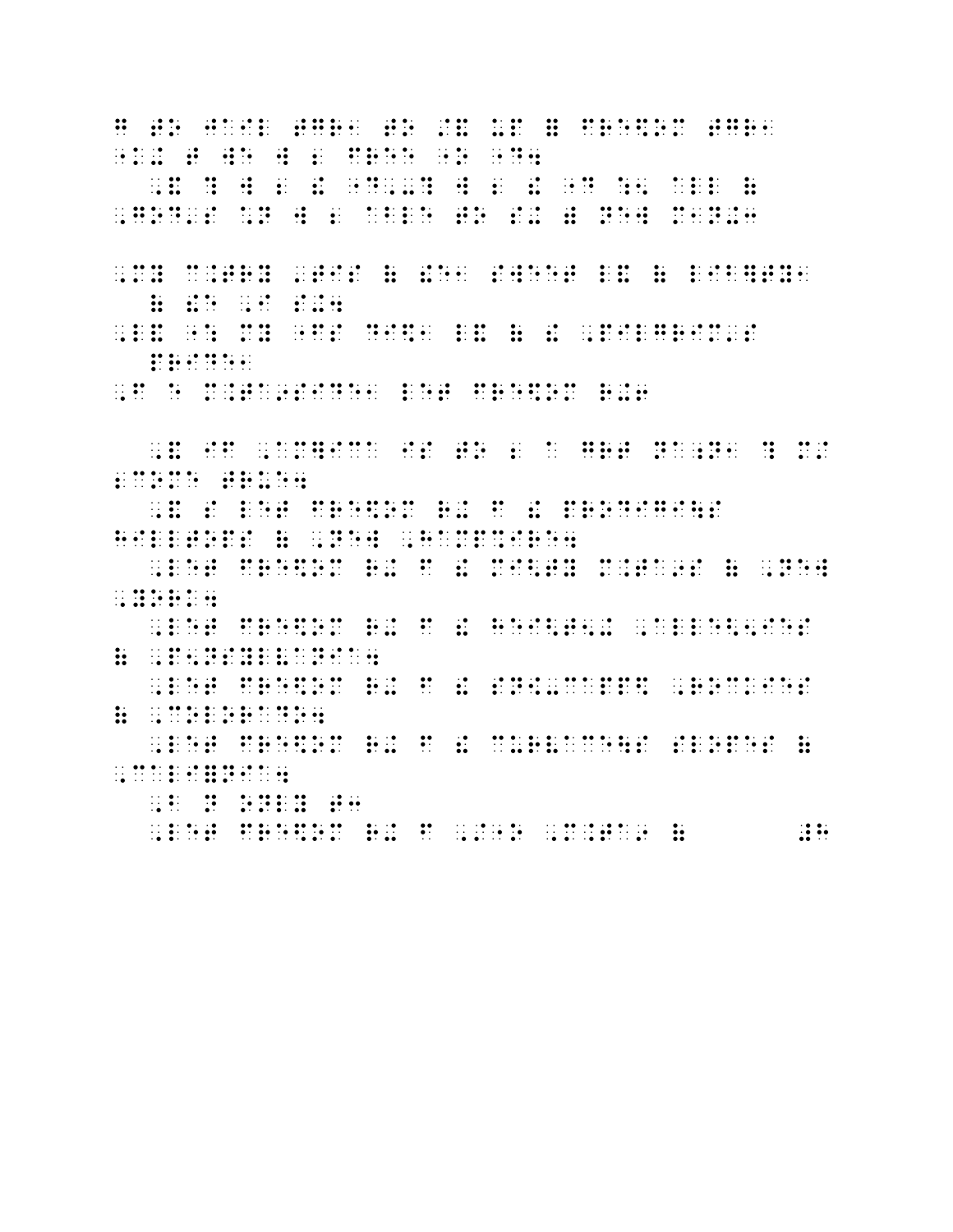G TO JAIL TGR1 TO /& UP = FRE\$OM TGR1  $\frac{1}{\sqrt{2}}$  for  $\frac{1}{\sqrt{2}}$  for  $\frac{1}{\sqrt{2}}$  for  $\frac{1}{\sqrt{2}}$  for  $\frac{1}{\sqrt{2}}$  for  $\frac{1}{\sqrt{2}}$  for  $\frac{1}{\sqrt{2}}$  for  $\frac{1}{\sqrt{2}}$  for  $\frac{1}{\sqrt{2}}$  for  $\frac{1}{\sqrt{2}}$  for  $\frac{1}{\sqrt{2}}$  for  $\frac{1}{\sqrt{2}}$  for  $\frac{1}{\sqrt{2}}$  for , 2008). And the state of the state of the state of the state of the state of the state of the state of the st<br>All (2008). And the state of the state of the state of the state of the state of the state of the state of th<br>A , GOD'S \*N W 2 ABLE TO SHOP AND A CHARLES TO SHOP A SAN AIR AN AIR AN AIR AN AIR AN AIR AN AIR AN AIR AN AIR A<br>God's formal and the state of the state of the state of the state of the state of the state of the state of th<br> ,MY C.TRY 'TIS ( !E1 SWEET L& ( LIB]TY1 ( !E ,I S+4 ,L& ": MY "FS DI\$1 L& ( ! ,PILGRIM'S **PRIDE** ,  $\frac{1}{2}$  ,  $\frac{1}{2}$  ,  $\frac{1}{2}$  ,  $\frac{1}{2}$  ,  $\frac{1}{2}$  ,  $\frac{1}{2}$  ,  $\frac{1}{2}$  ,  $\frac{1}{2}$  ,  $\frac{1}{2}$  ,  $\frac{1}{2}$  ,  $\frac{1}{2}$  ,  $\frac{1}{2}$  ,  $\frac{1}{2}$  ,  $\frac{1}{2}$  ,  $\frac{1}{2}$  ,  $\frac{1}{2}$  ,  $\frac{1}{2}$  ,  $\frac{1}{2}$  ,  $\frac$  ,& IF ,AM]ICA IS TO 2 A GRT NA;N1 ? M/ 2 COME TRUE4 COME TRUCK EN 1989 (1989)<br>20 Come True4 Come True4 Come True4 Come<br>20 Come True4 Come True4 Come True4 Come True4 ,& S LET FRE\$OM R+ F ! PRODIGI\S HILL OF REAL PROPERTY AND MANUFACTURE AND RELEASED ON A RELEASED FOR A SALE PARTICULAR COMPANY OF THE SALE PAR<br>HILL OF REAL PROPERTY AND MANUFACTURE AND RELEASED FOR A SALE PARTICULAR COMPANY OF THE SALE PARTICULAR COMPAN<br> , LET FRESH AND RESIDENT RESIDENCE AND RESIDENCE AS A REPORT OF THE RESIDENCE AND RESIDENCE AS A REPORT OF THE RESIDENCE AS A REPORT OF THE RESIDENCE AND RESIDENCE AS A REPORT OF THE RESIDENCE AND RESIDENCE AS A REPORT OF  $\frac{1}{2}$ ,  $\frac{1}{2}$ ,  $\frac{1}{2}$ ,  $\frac{1}{2}$ ,  $\frac{1}{2}$ ,  $\frac{1}{2}$ ,  $\frac{1}{2}$ ,  $\frac{1}{2}$ ,  $\frac{1}{2}$ , LET FRESOMEN TO THE FRESOMEN TO A RESOLUTION OF A RESOLUTION OF A RESOLUTION OF A RESOLUTION OF A RESOLUTION ( )  $\begin{array}{ccc} 0 & 0 & 0 & 0 & 0 \\ 0 & 0 & 0 & 0 \\ 0 & 0 & 0 & 0 \\ 0 & 0 & 0 & 0 \\ \end{array}$ , LET FRESH AND RESOLUTION OF RESOLUTION AND RESOLUTION OF RESOLUTION  $\mathcal{L}_1$ ( ,COLORADO4 ,LET FRE\$OM R+ F ! CURVACE\S SLOPES ( , CALIFORNIA (1988)<br>, CALIFORNIA (1988)<br>, CALIFORNIA (1988)<br>, CALIFORNIA (1988) ,B N ONLY T3 ,LET FRE\$OM R+ F ,/"O ,M.TA9 ( #H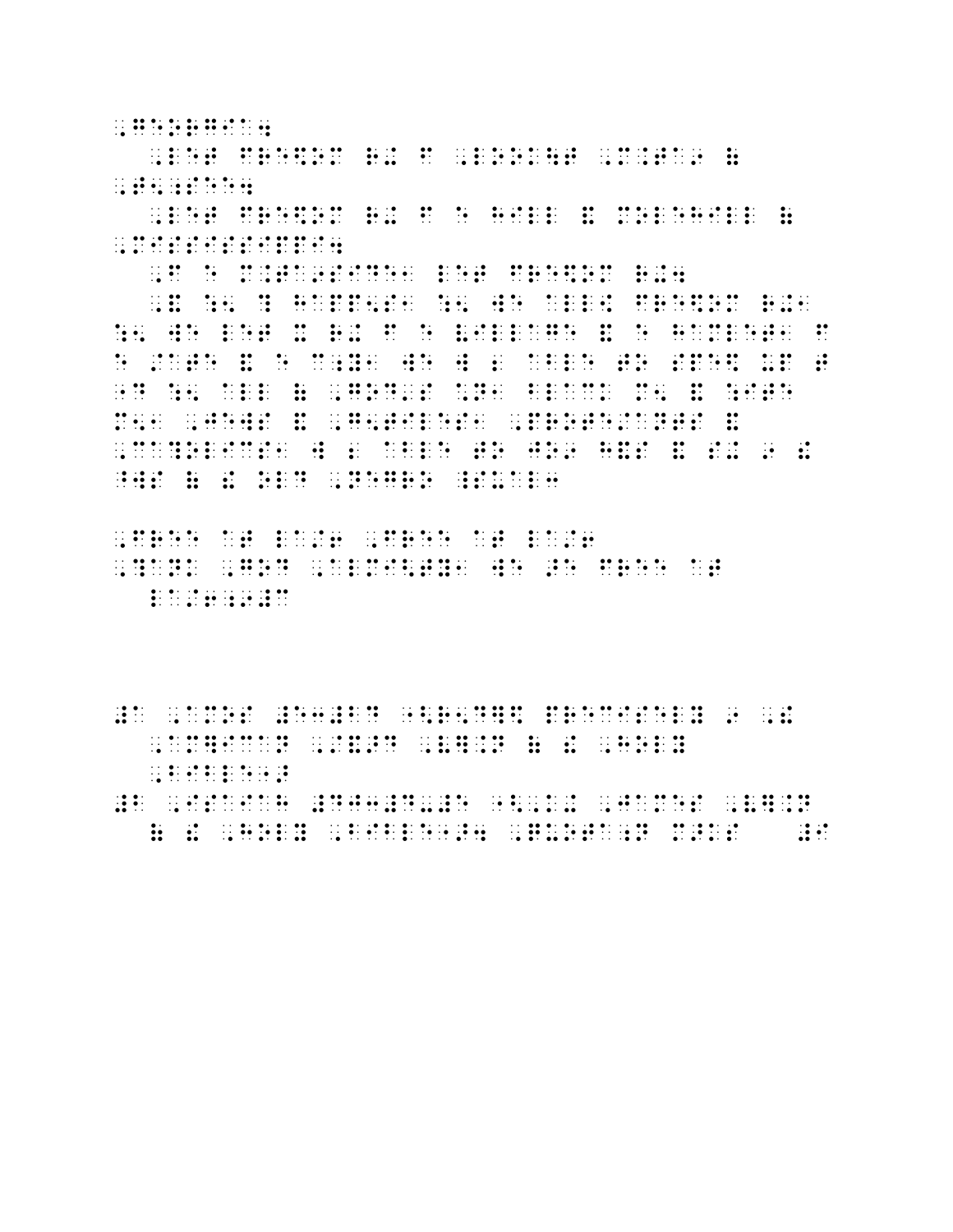$\frac{1}{2}$ ,  $\frac{1}{2}$ ,  $\frac{1}{2}$ ,  $\frac{1}{2}$ ,  $\frac{1}{2}$ ,  $\frac{1}{2}$ ,  $\frac{1}{2}$ ,  $\frac{1}{2}$ ,  $\frac{1}{2}$ ,  $\frac{1}{2}$ ,  $\frac{1}{2}$ ,  $\frac{1}{2}$ ,  $\frac{1}{2}$ ,  $\frac{1}{2}$ ,  $\frac{1}{2}$ ,  $\frac{1}{2}$ ,  $\frac{1}{2}$ ,  $\frac{1}{2}$ ,  $\frac{1}{2}$ ,  $\frac{1}{2}$ ,

, LET FRESH , LOOK , LOOK , LOOK , LOOK , LOOK , LOOK , LOOK , LOOK , LOOK , LOOK , LOOK , LOOK  $\frac{1}{2}$ ,  $\frac{1}{2}$ ,  $\frac{1}{2}$ ,  $\frac{1}{2}$ ,  $\frac{1}{2}$ ,  $\frac{1}{2}$ ,  $\frac{1}{2}$ ,  $\frac{1}{2}$ ,  $\frac{1}{2}$ ,  $\frac{1}{2}$ ,  $\frac{1}{2}$ 

, LET FRESH DE SOM DE SOM DE SOM DE SOM DE SOM DE SOM DE SOM DE SOM DE SOM DE SOM DE SOM DE SOM DE SOM DE SOM<br>LET FRESH DE SOM DE SOM DE SOM DE SOM DE SOM DE SOM DE SOM DE SOM DE SOM DE SOM DE SOM DE SOM DE SOM DE SOM D<br>LE , and the state of the state of the state of the state of the state of the state of the state of the state of the state of the state of the state of the state of the state of the state of the state of the state of the sta

, F E M. 1995 - DIA NORTH AN 1996 - DIA NORTH ANN AN 1997 - DIA NORTH AN INSTITUTION AND LOCAL ANN AN INSTITUT<br>The signal company of the signal property of the signal company of the signal property of the signal company o<br> , and the second component of the second control of the second component of the second component of the second<br>-5 Mars = 1980 = 1980 = 1980 = 1980 = 1980 = 1980 = 1980 = 1980 = 1980 = 1980 = 1980 = 1980 = 1980 = 1980 = 19 :5 WE LET THE RELEASE OF THE COMPANY OF THE RELEASE OF THE RELEASE OF THE RELEASE OF THE RELEASE OF THE RELEAS<br>The release of the release of the release of the release of the release of the release of the release of the r<br> E /ATE & E C;Y1 WE W 2 ABLE TO SPE\$ UP T "D : 5 ALL ( ,GOD'S \*N1 BLACK M5 ALL ( ) : 5 ALL ( ) : 5 ALL ( ) : 5 ALL ( ) : 5 ALL ( ) : 5 ALL ( ) : 5 ALL (<br>"D : 5 ALL ( ) : 5 ALL ( ) : 5 ALL ( ) : 5 ALL ( ) : 5 ALL ( ) : 5 ALL ( ) : 5 ALL ( ) : 5 ALL ( ) : 5 ALL ( ) M51 ,JEWS & ,G5TILES , M51 ,JEWS & ,G5TILES , M51 ,JEWS & ,G5TILES  $\sim$  ,  $\sim$  ,  $\sim$  ,  $\sim$  ,  $\sim$  ,  $\sim$  ,  $\sim$  ,  $\sim$  ,  $\sim$  ,  $\sim$  ,  $\sim$  ,  $\sim$  ,  $\sim$  ,  $\sim$  ,  $\sim$  ,  $\sim$  ,  $\sim$  ,  $\sim$  ,  $\sim$  ,  $\sim$  ,  $\sim$  ,  $\sim$  ,  $\sim$  ,  $\sim$  ,  $\sim$  ,  $\sim$  ,  $\sim$  ,  $\sim$  ,  $\sim$  ,  $\sim$  ,  $\sim$  ,  $\sim$  $\frac{1}{2}$  (  $\frac{1}{2}$  (  $\frac{1}{2}$  (  $\frac{1}{2}$  )  $\frac{1}{2}$  (  $\frac{1}{2}$  )  $\frac{1}{2}$  ( $\frac{1}{2}$  )  $\frac{1}{2}$  ( $\frac{1}{2}$  )  $\frac{1}{2}$  ( $\frac{1}{2}$  )  $\frac{1}{2}$  ( $\frac{1}{2}$  )  $\frac{1}{2}$  ( $\frac{1}{2}$  )  $\frac{1}{2}$  ( $\frac{1}{2}$  )  $\frac{1}{2}$  (

, FREE AT LA/6 , FREE AT LA/6 , AND THE EXPLORER OF THE EXPLORER OF THE EXPLORER OF THE EXPLORER OF THE EXPLOR<br>The Explorer State At Language At Language At Language At Language At Language At Language At Language At Lan<br>T , which is a set of the set of the set of the set of the set of the set of the set of the set of the set of the set of the set of the set of the set of the set of the set of the set of the set of the set of the set of the LA COME COME COME COM

#A ,AMOS #E3#BD "<R5D]\$ PRECISELY 9 ,! , AM ICAN , AM ICAN , AM ICAN , AM ICAN , AM ICAN , AM ICAN , AM ICAN , AM ICAN , AM ICAN , AM ICAN , AM ICAN <br>The company of the company of the company of the company of the company of the company of the company of the c ,  $B$  ,  $B$  ,  $B$  ,  $B$  ,  $B$  ,  $B$  ,  $B$  ,  $B$  ,  $B$  ,  $B$  ,  $B$  ,  $B$  ,  $B$  ,  $B$  ,  $B$  ,  $B$  ,  $B$  ,  $B$  ,  $B$  ,  $B$  ,  $B$  ,  $B$  ,  $B$  ,  $B$  ,  $B$  ,  $B$  ,  $B$  ,  $B$  ,  $B$  ,  $B$  ,  $B$  ,  $B$  ,  $B$  ,  $B$  ,  $B$  ,  $B$  ,  $B$ 

#B ,ISAIAH #DJ3#D-#E "<,K+ ,JAMES ,V].N (  $\overline{10}$  ,  $\overline{10}$  ,  $\overline{10}$  ,  $\overline{10}$  ,  $\overline{10}$  ,  $\overline{10}$  ,  $\overline{10}$  ,  $\overline{10}$  ,  $\overline{10}$  ,  $\overline{10}$  ,  $\overline{10}$  ,  $\overline{10}$  ,  $\overline{10}$  ,  $\overline{10}$  ,  $\overline{10}$  ,  $\overline{10}$  ,  $\overline{10}$  ,  $\overline{10}$  ,  $\over$